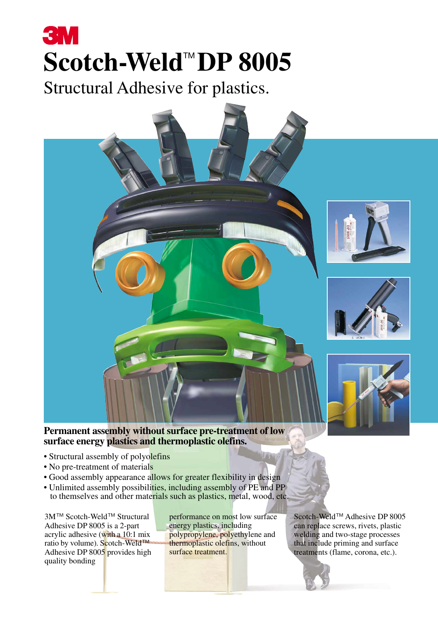# **3M** Scotch-Weld<sup>™</sup>DP 8005

Structural Adhesive for plastics.



## **Permanent assembly without surface pre-treatment of low surface energy plastics and thermoplastic olefins.**

- Structural assembly of polyolefins
- No pre-treatment of materials
- Good assembly appearance allows for greater flexibility in design
- Unlimited assembly possibilities, including assembly of PE and PP to themselves and other materials such as plastics, metal, wood, etc.

3M™ Scotch-Weld™ Structural Adhesive DP 8005 is a 2-part acrylic adhesive (with a  $10:1$  mix ratio by volume). Scotch-Weld™ Adhesive DP 8005 provides high quality bonding

performance on most low surface energy plastics, including polypropylene, polyethylene and thermoplastic olefins, without surface treatment.

Scotch-Weld™ Adhesive DP 8005 can replace screws, rivets, plastic welding and two-stage processes that include priming and surface treatments (flame, corona, etc.).